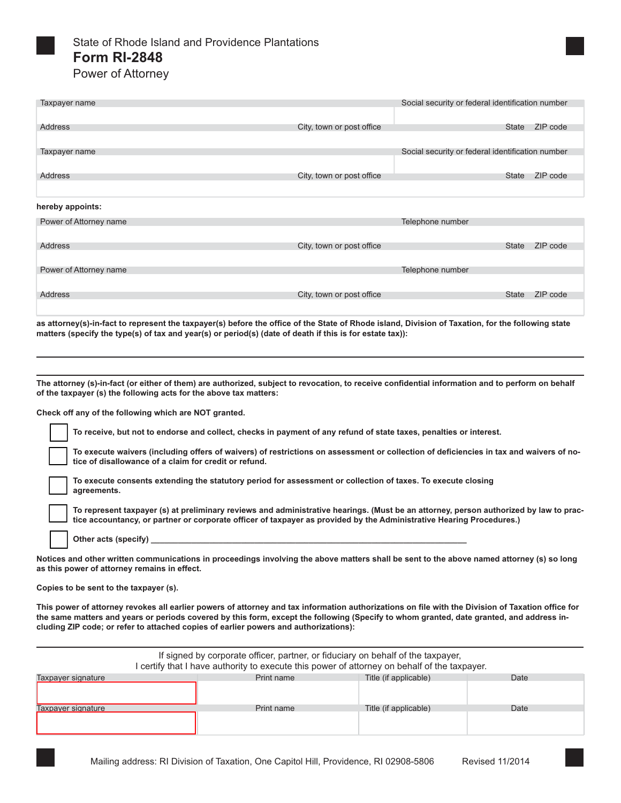

Address

| Taxpayer name          |                           | Social security or federal identification number |              |          |
|------------------------|---------------------------|--------------------------------------------------|--------------|----------|
|                        |                           |                                                  |              |          |
| Address                | City, town or post office |                                                  | State        | ZIP code |
|                        |                           |                                                  |              |          |
| Taxpayer name          |                           | Social security or federal identification number |              |          |
|                        |                           |                                                  |              |          |
| Address                | City, town or post office |                                                  | <b>State</b> | ZIP code |
|                        |                           |                                                  |              |          |
| hereby appoints:       |                           |                                                  |              |          |
| Power of Attorney name |                           | Telephone number                                 |              |          |
|                        |                           |                                                  |              |          |
| Address                | City, town or post office |                                                  | <b>State</b> | ZIP code |
|                        |                           |                                                  |              |          |
| Power of Attorney name |                           | Telephone number                                 |              |          |
|                        |                           |                                                  |              |          |

**as attorney(s)-in-fact to represent the taxpayer(s) before the office of the State of Rhode island, Division of Taxation, for the following state matters (specify the type(s) of tax and year(s) or period(s) (date of death if this is for estate tax)):**

City, town or post office State ZIP code

■

■

**The attorney (s)-in-fact (or either of them) are authorized, subject to revocation, to receive confidential information and to perform on behalf of the taxpayer (s) the following acts for the above tax matters:** 

**Check off any of the following which are NOT granted.**

**To receive, but not to endorse and collect, checks in payment of any refund of state taxes, penalties or interest.**  □

**To execute waivers (including offers of waivers) of restrictions on assessment or collection of deficiencies in tax and waivers of notice of disallowance of a claim for credit or refund.** 

**To execute consents extending the statutory period for assessment or collection of taxes. To execute closing**  agreements.

**To represent taxpayer (s) at preliminary reviews and administrative hearings. (Must be an attorney, person authorized by law to prac**tic represent taxpayer (s) at preliminary reviews and administrative nearings. (wust be an attorney, person authorized<br>The accountancy, or partner or corporate officer of taxpayer as provided by the Administrative Hearing

**Other acts (specify) \_\_\_\_\_\_\_\_\_\_\_\_\_\_\_\_\_\_\_\_\_\_\_\_\_\_\_\_\_\_\_\_\_\_\_\_\_\_\_\_\_\_\_\_\_\_\_\_\_\_\_\_\_\_\_\_\_\_\_\_\_\_\_\_\_\_\_\_\_\_** □

**Notices and other written communications in proceedings involving the above matters shall be sent to the above named attorney (s) so long as this power of attorney remains in effect.** 

**Copies to be sent to the taxpayer (s).** 

■

**This power of attorney revokes all earlier powers of attorney and tax information authorizations on file with the Division of Taxation office for the same matters and years or periods covered by this form, except the following (Specify to whom granted, date granted, and address including ZIP code; or refer to attached copies of earlier powers and authorizations):**

| If signed by corporate officer, partner, or fiduciary on behalf of the taxpayer,<br>I certify that I have authority to execute this power of attorney on behalf of the taxpayer. |            |                       |      |  |  |  |
|----------------------------------------------------------------------------------------------------------------------------------------------------------------------------------|------------|-----------------------|------|--|--|--|
| Taxpayer signature                                                                                                                                                               | Print name | Title (if applicable) | Date |  |  |  |
|                                                                                                                                                                                  |            |                       |      |  |  |  |
| Taxpayer signature                                                                                                                                                               | Print name | Title (if applicable) | Date |  |  |  |
|                                                                                                                                                                                  |            |                       |      |  |  |  |
|                                                                                                                                                                                  |            |                       |      |  |  |  |
|                                                                                                                                                                                  |            |                       |      |  |  |  |